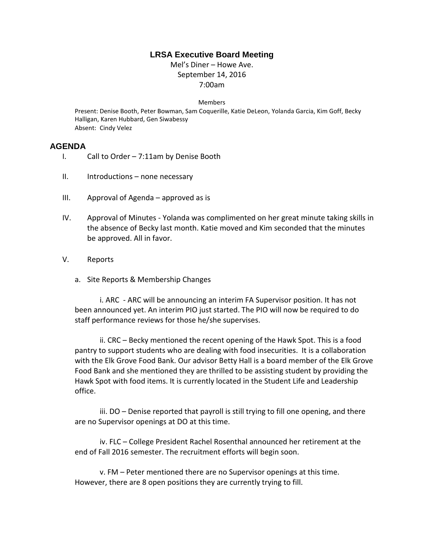## **LRSA Executive Board Meeting**

Mel's Diner – Howe Ave. September 14, 2016 7:00am

## Members

Present: Denise Booth, Peter Bowman, Sam Coquerille, Katie DeLeon, Yolanda Garcia, Kim Goff, Becky Halligan, Karen Hubbard, Gen Siwabessy Absent: Cindy Velez

## **AGENDA**

- I. Call to Order 7:11am by Denise Booth
- II. Introductions none necessary
- III. Approval of Agenda approved as is
- IV. Approval of Minutes Yolanda was complimented on her great minute taking skills in the absence of Becky last month. Katie moved and Kim seconded that the minutes be approved. All in favor.
- V. Reports
	- a. Site Reports & Membership Changes

i. ARC - ARC will be announcing an interim FA Supervisor position. It has not been announced yet. An interim PIO just started. The PIO will now be required to do staff performance reviews for those he/she supervises.

ii. CRC – Becky mentioned the recent opening of the Hawk Spot. This is a food pantry to support students who are dealing with food insecurities. It is a collaboration with the Elk Grove Food Bank. Our advisor Betty Hall is a board member of the Elk Grove Food Bank and she mentioned they are thrilled to be assisting student by providing the Hawk Spot with food items. It is currently located in the Student Life and Leadership office.

iii. DO – Denise reported that payroll is still trying to fill one opening, and there are no Supervisor openings at DO at this time.

iv. FLC – College President Rachel Rosenthal announced her retirement at the end of Fall 2016 semester. The recruitment efforts will begin soon.

v. FM – Peter mentioned there are no Supervisor openings at this time. However, there are 8 open positions they are currently trying to fill.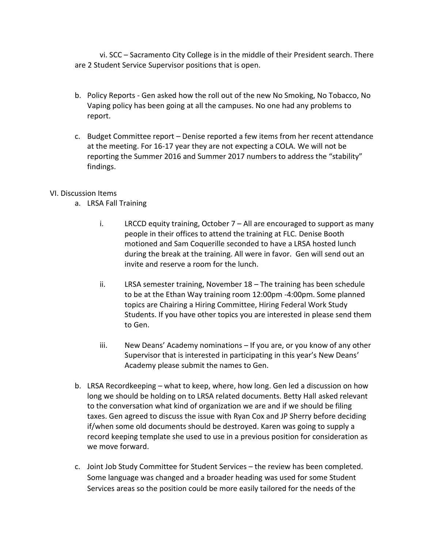vi. SCC – Sacramento City College is in the middle of their President search. There are 2 Student Service Supervisor positions that is open.

- b. Policy Reports Gen asked how the roll out of the new No Smoking, No Tobacco, No Vaping policy has been going at all the campuses. No one had any problems to report.
- c. Budget Committee report Denise reported a few items from her recent attendance at the meeting. For 16-17 year they are not expecting a COLA. We will not be reporting the Summer 2016 and Summer 2017 numbers to address the "stability" findings.

## VI. Discussion Items

- a. LRSA Fall Training
	- i. LRCCD equity training, October  $7 -$  All are encouraged to support as many people in their offices to attend the training at FLC. Denise Booth motioned and Sam Coquerille seconded to have a LRSA hosted lunch during the break at the training. All were in favor. Gen will send out an invite and reserve a room for the lunch.
	- ii. LRSA semester training, November 18 The training has been schedule to be at the Ethan Way training room 12:00pm -4:00pm. Some planned topics are Chairing a Hiring Committee, Hiring Federal Work Study Students. If you have other topics you are interested in please send them to Gen.
	- iii. New Deans' Academy nominations If you are, or you know of any other Supervisor that is interested in participating in this year's New Deans' Academy please submit the names to Gen.
- b. LRSA Recordkeeping what to keep, where, how long. Gen led a discussion on how long we should be holding on to LRSA related documents. Betty Hall asked relevant to the conversation what kind of organization we are and if we should be filing taxes. Gen agreed to discuss the issue with Ryan Cox and JP Sherry before deciding if/when some old documents should be destroyed. Karen was going to supply a record keeping template she used to use in a previous position for consideration as we move forward.
- c. Joint Job Study Committee for Student Services the review has been completed. Some language was changed and a broader heading was used for some Student Services areas so the position could be more easily tailored for the needs of the